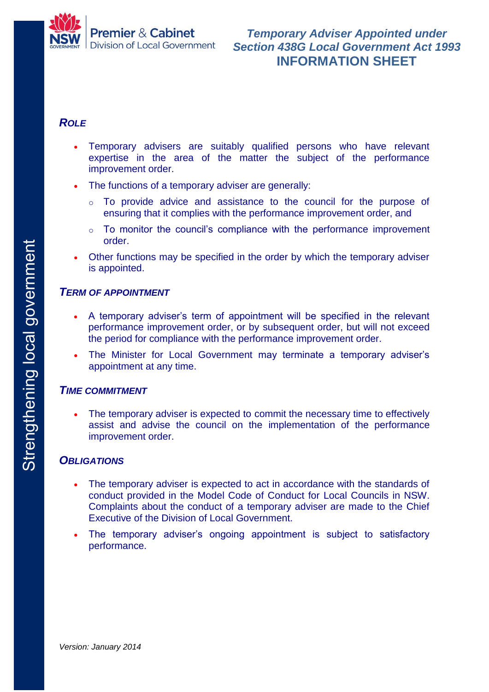

## *ROLE*

- Temporary advisers are suitably qualified persons who have relevant expertise in the area of the matter the subject of the performance improvement order.
- The functions of a temporary adviser are generally:
	- o To provide advice and assistance to the council for the purpose of ensuring that it complies with the performance improvement order, and
	- $\circ$  To monitor the council's compliance with the performance improvement order.
- Other functions may be specified in the order by which the temporary adviser is appointed.

### *TERM OF APPOINTMENT*

- A temporary adviser's term of appointment will be specified in the relevant performance improvement order, or by subsequent order, but will not exceed the period for compliance with the performance improvement order.
- The Minister for Local Government may terminate a temporary adviser's appointment at any time.

### *TIME COMMITMENT*

 The temporary adviser is expected to commit the necessary time to effectively assist and advise the council on the implementation of the performance improvement order.

## *OBLIGATIONS*

- The temporary adviser is expected to act in accordance with the standards of conduct provided in the Model Code of Conduct for Local Councils in NSW. Complaints about the conduct of a temporary adviser are made to the Chief Executive of the Division of Local Government.
- The temporary adviser's ongoing appointment is subject to satisfactory performance.